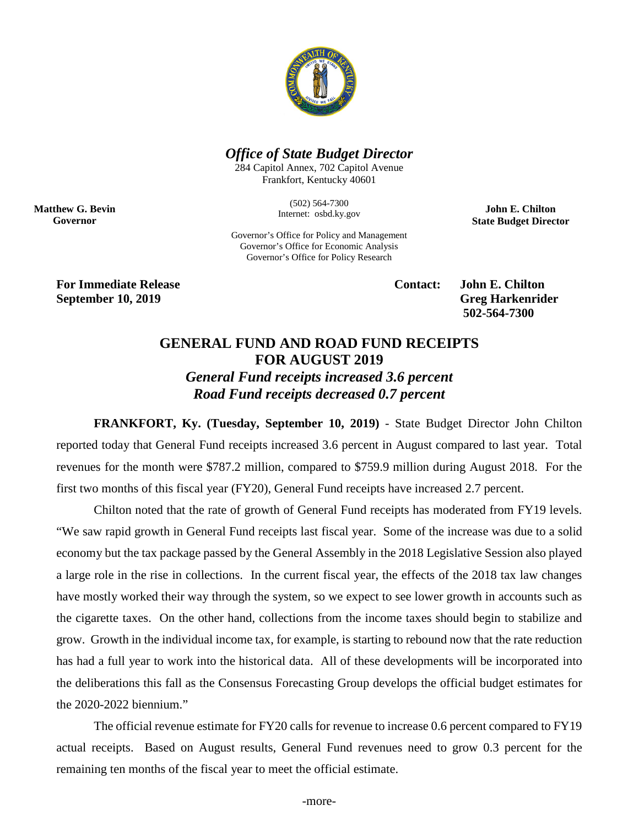

## *Office of State Budget Director*

284 Capitol Annex, 702 Capitol Avenue Frankfort, Kentucky 40601

> (502) 564-7300 Internet: osbd.ky.gov

**John E. Chilton State Budget Director**

Governor's Office for Policy and Management Governor's Office for Economic Analysis Governor's Office for Policy Research

**For Immediate Release Contact: John E. Chilton September 10, 2019** Greg Harkenrider

**Matthew G. Bevin Governor**

**502-564-7300** 

## **GENERAL FUND AND ROAD FUND RECEIPTS FOR AUGUST 2019** *General Fund receipts increased 3.6 percent Road Fund receipts decreased 0.7 percent*

**FRANKFORT, Ky. (Tuesday, September 10, 2019)** - State Budget Director John Chilton reported today that General Fund receipts increased 3.6 percent in August compared to last year. Total revenues for the month were \$787.2 million, compared to \$759.9 million during August 2018. For the first two months of this fiscal year (FY20), General Fund receipts have increased 2.7 percent.

Chilton noted that the rate of growth of General Fund receipts has moderated from FY19 levels. "We saw rapid growth in General Fund receipts last fiscal year. Some of the increase was due to a solid economy but the tax package passed by the General Assembly in the 2018 Legislative Session also played a large role in the rise in collections. In the current fiscal year, the effects of the 2018 tax law changes have mostly worked their way through the system, so we expect to see lower growth in accounts such as the cigarette taxes. On the other hand, collections from the income taxes should begin to stabilize and grow. Growth in the individual income tax, for example, is starting to rebound now that the rate reduction has had a full year to work into the historical data. All of these developments will be incorporated into the deliberations this fall as the Consensus Forecasting Group develops the official budget estimates for the 2020-2022 biennium."

The official revenue estimate for FY20 calls for revenue to increase 0.6 percent compared to FY19 actual receipts. Based on August results, General Fund revenues need to grow 0.3 percent for the remaining ten months of the fiscal year to meet the official estimate.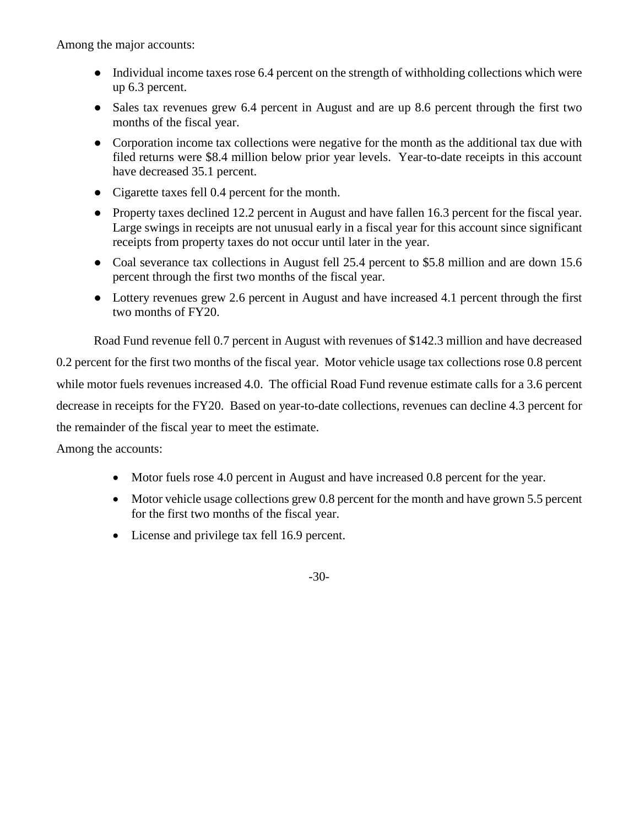Among the major accounts:

- Individual income taxes rose 6.4 percent on the strength of withholding collections which were up 6.3 percent.
- Sales tax revenues grew 6.4 percent in August and are up 8.6 percent through the first two months of the fiscal year.
- Corporation income tax collections were negative for the month as the additional tax due with filed returns were \$8.4 million below prior year levels. Year-to-date receipts in this account have decreased 35.1 percent.
- Cigarette taxes fell 0.4 percent for the month.
- Property taxes declined 12.2 percent in August and have fallen 16.3 percent for the fiscal year. Large swings in receipts are not unusual early in a fiscal year for this account since significant receipts from property taxes do not occur until later in the year.
- Coal severance tax collections in August fell 25.4 percent to \$5.8 million and are down 15.6 percent through the first two months of the fiscal year.
- Lottery revenues grew 2.6 percent in August and have increased 4.1 percent through the first two months of FY20.

Road Fund revenue fell 0.7 percent in August with revenues of \$142.3 million and have decreased

0.2 percent for the first two months of the fiscal year. Motor vehicle usage tax collections rose 0.8 percent while motor fuels revenues increased 4.0. The official Road Fund revenue estimate calls for a 3.6 percent decrease in receipts for the FY20. Based on year-to-date collections, revenues can decline 4.3 percent for the remainder of the fiscal year to meet the estimate.

Among the accounts:

- Motor fuels rose 4.0 percent in August and have increased 0.8 percent for the year.
- Motor vehicle usage collections grew 0.8 percent for the month and have grown 5.5 percent for the first two months of the fiscal year.
- License and privilege tax fell 16.9 percent.

-30-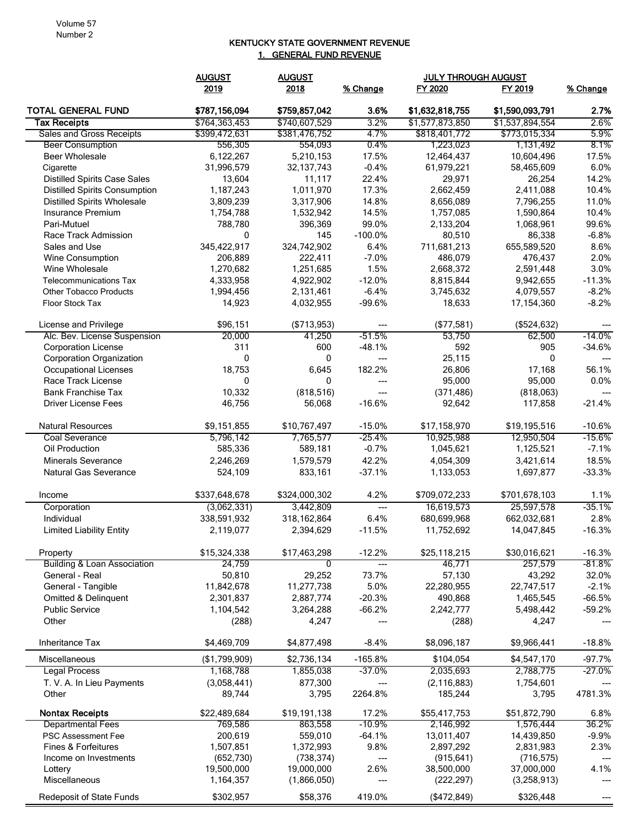## KENTUCKY STATE GOVERNMENT REVENUE 1. GENERAL FUND REVENUE

|                                        | <b>AUGUST</b>          | <b>AUGUST</b>          |                 |                        | <b>JULY THROUGH AUGUST</b> |              |
|----------------------------------------|------------------------|------------------------|-----------------|------------------------|----------------------------|--------------|
|                                        | 2019                   | 2018                   | % Change        | FY 2020                | FY 2019                    | % Change     |
| <b>TOTAL GENERAL FUND</b>              | \$787,156,094          | \$759,857,042          | 3.6%            | \$1,632,818,755        | \$1,590,093,791            | 2.7%         |
| <b>Tax Receipts</b>                    | \$764,363,453          | \$740,607,529          | 3.2%            | \$1,577,873,850        | \$1,537,894,554            | 2.6%         |
| Sales and Gross Receipts               | \$399,472,631          | \$381,476,752          | 4.7%            | \$818,401,772          | \$773,015,334              | 5.9%         |
| <b>Beer Consumption</b>                | 556,305                | 554,093                | $0.4\%$         | 1,223,023              | 1,131,492                  | 8.1%         |
| <b>Beer Wholesale</b>                  | 6,122,267              | 5,210,153              | 17.5%           | 12,464,437             | 10,604,496                 | 17.5%        |
| Cigarette                              | 31,996,579             | 32, 137, 743           | $-0.4%$         | 61,979,221             | 58,465,609                 | 6.0%         |
| <b>Distilled Spirits Case Sales</b>    | 13,604                 | 11.117                 | 22.4%           | 29,971                 | 26,254                     | 14.2%        |
| <b>Distilled Spirits Consumption</b>   | 1,187,243              | 1,011,970              | 17.3%           | 2,662,459              | 2,411,088                  | 10.4%        |
| <b>Distilled Spirits Wholesale</b>     | 3,809,239              | 3,317,906              | 14.8%           | 8,656,089              | 7,796,255                  | 11.0%        |
| Insurance Premium                      | 1,754,788              | 1,532,942              | 14.5%           | 1,757,085              | 1,590,864                  | 10.4%        |
| Pari-Mutuel                            | 788,780                | 396,369                | 99.0%           | 2,133,204              | 1,068,961                  | 99.6%        |
| Race Track Admission                   | 0                      | 145                    | $-100.0%$       | 80,510                 | 86,338                     | $-6.8%$      |
| Sales and Use                          | 345,422,917            | 324,742,902            | 6.4%            | 711,681,213            | 655,589,520                | 8.6%         |
| Wine Consumption<br>Wine Wholesale     | 206,889<br>1,270,682   | 222,411<br>1,251,685   | $-7.0%$<br>1.5% | 486,079<br>2,668,372   | 476,437<br>2,591,448       | 2.0%<br>3.0% |
| <b>Telecommunications Tax</b>          |                        |                        | $-12.0%$        |                        |                            | $-11.3%$     |
| <b>Other Tobacco Products</b>          | 4,333,958<br>1,994,456 | 4,922,902<br>2,131,461 | $-6.4%$         | 8,815,844<br>3,745,632 | 9,942,655<br>4,079,557     | $-8.2%$      |
| <b>Floor Stock Tax</b>                 | 14,923                 | 4,032,955              | $-99.6%$        | 18,633                 | 17,154,360                 | $-8.2%$      |
|                                        |                        |                        |                 |                        |                            |              |
| License and Privilege                  | \$96,151               | (\$713,953)            | ---             | (\$77,581)             | (\$524, 632)               |              |
| Alc. Bev. License Suspension           | 20,000                 | 41,250                 | $-51.5%$        | 53,750                 | 62,500                     | $-14.0\%$    |
| <b>Corporation License</b>             | 311                    | 600                    | $-48.1%$        | 592                    | 905                        | $-34.6%$     |
| <b>Corporation Organization</b>        | 0                      | 0                      | $---$           | 25,115                 | 0                          |              |
| <b>Occupational Licenses</b>           | 18,753                 | 6,645                  | 182.2%          | 26,806                 | 17,168                     | 56.1%        |
| Race Track License                     | 0                      | $\mathbf{0}$           | ---             | 95,000                 | 95,000                     | 0.0%         |
| <b>Bank Franchise Tax</b>              | 10,332                 | (818, 516)             | $---$           | (371, 486)             | (818,063)                  |              |
| <b>Driver License Fees</b>             | 46,756                 | 56,068                 | $-16.6%$        | 92,642                 | 117,858                    | $-21.4%$     |
| <b>Natural Resources</b>               | \$9,151,855            | \$10,767,497           | $-15.0%$        | \$17,158,970           | \$19,195,516               | $-10.6%$     |
| Coal Severance                         | 5,796,142              | 7,765,577              | -25.4%          | 10,925,988             | 12,950,504                 | $-15.6\%$    |
| Oil Production                         | 585,336                | 589,181                | $-0.7%$         | 1,045,621              | 1,125,521                  | $-7.1%$      |
| <b>Minerals Severance</b>              | 2,246,269              | 1,579,579              | 42.2%           | 4,054,309              | 3,421,614                  | 18.5%        |
| Natural Gas Severance                  | 524,109                | 833,161                | $-37.1%$        | 1,133,053              | 1,697,877                  | $-33.3%$     |
| Income                                 | \$337,648,678          | \$324,000,302          | 4.2%            | \$709,072,233          | \$701,678,103              | 1.1%         |
| Corporation                            | (3,062,331)            | 3,442,809              | $---$           | 16,619,573             | 25,597,578                 | $-35.1%$     |
| Individual                             | 338,591,932            | 318, 162, 864          | 6.4%            | 680,699,968            | 662,032,681                | 2.8%         |
| <b>Limited Liability Entity</b>        | 2,119,077              | 2,394,629              | $-11.5%$        | 11,752,692             | 14,047,845                 | $-16.3%$     |
|                                        |                        |                        |                 |                        |                            |              |
| Property                               | \$15,324,338           | \$17,463,298           | $-12.2%$        | \$25,118,215           | \$30,016,621               | $-16.3%$     |
| <b>Building &amp; Loan Association</b> | 24,759                 | 0                      | $---$           | 46,771                 | 257,579                    | $-81.8%$     |
| General - Real                         | 50,810                 | 29,252                 | 73.7%           | 57,130                 | 43,292                     | 32.0%        |
| General - Tangible                     | 11,842,678             | 11,277,738             | 5.0%            | 22,280,955             | 22,747,517                 | $-2.1%$      |
| Omitted & Delinquent                   | 2,301,837              | 2,887,774              | $-20.3%$        | 490,868                | 1,465,545                  | $-66.5%$     |
| <b>Public Service</b>                  | 1,104,542              | 3,264,288              | $-66.2%$        | 2,242,777              | 5,498,442                  | $-59.2%$     |
| Other                                  | (288)                  | 4,247                  |                 | (288)                  | 4,247                      |              |
| Inheritance Tax                        | \$4,469,709            | \$4,877,498            | $-8.4%$         | \$8,096,187            | \$9,966,441                | $-18.8%$     |
| Miscellaneous                          | (\$1,799,909)          | \$2,736,134            | $-165.8%$       | \$104,054              | \$4,547,170                | $-97.7%$     |
| Legal Process                          | 1,168,788              | 1,855,038              | $-37.0%$        | 2,035,693              | 2,788,775                  | $-27.0%$     |
| T. V. A. In Lieu Payments              | (3,058,441)            | 877,300                | $---$           | (2, 116, 883)          | 1,754,601                  |              |
| Other                                  | 89,744                 | 3,795                  | 2264.8%         | 185,244                | 3,795                      | 4781.3%      |
| <b>Nontax Receipts</b>                 | \$22,489,684           | \$19,191,138           | 17.2%           | \$55,417,753           | \$51,872,790               | 6.8%         |
| <b>Departmental Fees</b>               | 769,586                | 863,558                | $-10.9%$        | 2,146,992              | 1,576,444                  | 36.2%        |
| <b>PSC Assessment Fee</b>              | 200,619                | 559,010                | $-64.1%$        | 13,011,407             | 14,439,850                 | $-9.9%$      |
| <b>Fines &amp; Forfeitures</b>         | 1,507,851              | 1,372,993              | 9.8%            | 2,897,292              | 2,831,983                  | 2.3%         |
| Income on Investments                  | (652, 730)             | (738, 374)             | $\overline{a}$  | (915, 641)             | (716, 575)                 | ---          |
| Lottery                                | 19,500,000             | 19,000,000             | 2.6%            | 38,500,000             | 37,000,000                 | 4.1%         |
| Miscellaneous                          | 1,164,357              | (1,866,050)            | ---             | (222, 297)             | (3,258,913)                |              |
| Redeposit of State Funds               | \$302,957              | \$58,376               | 419.0%          | (\$472,849)            | \$326,448                  |              |